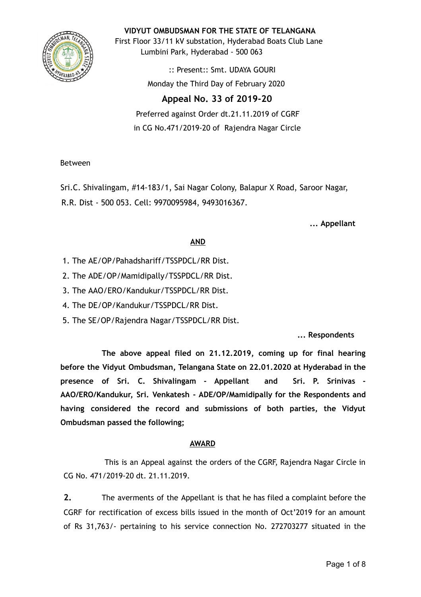

**VIDYUT OMBUDSMAN FOR THE STATE OF TELANGANA**

First Floor 33/11 kV substation, Hyderabad Boats Club Lane Lumbini Park, Hyderabad - 500 063

> :: Present:: Smt. UDAYA GOURI Monday the Third Day of February 2020

# **Appeal No. 33 of 2019-20**

Preferred against Order dt.21.11.2019 of CGRF in CG No.471/2019-20 of Rajendra Nagar Circle

## Between

Sri.C. Shivalingam, #14-183/1, Sai Nagar Colony, Balapur X Road, Saroor Nagar, R.R. Dist - 500 053. Cell: 9970095984, 9493016367.

**... Appellant**

## **AND**

- 1. The AE/OP/Pahadshariff/TSSPDCL/RR Dist.
- 2. The ADE/OP/Mamidipally/TSSPDCL/RR Dist.
- 3. The AAO/ERO/Kandukur/TSSPDCL/RR Dist.
- 4. The DE/OP/Kandukur/TSSPDCL/RR Dist.
- 5. The SE/OP/Rajendra Nagar/TSSPDCL/RR Dist.

# **... Respondents**

**The above appeal filed on 21.12.2019, coming up for final hearing before the Vidyut Ombudsman, Telangana State on 22.01.2020 at Hyderabad in the presence of Sri. C. Shivalingam - Appellant and Sri. P. Srinivas - AAO/ERO/Kandukur, Sri. Venkatesh - ADE/OP/Mamidipally for the Respondents and having considered the record and submissions of both parties, the Vidyut Ombudsman passed the following;**

### **AWARD**

This is an Appeal against the orders of the CGRF, Rajendra Nagar Circle in CG No. 471/2019-20 dt. 21.11.2019.

**2.** The averments of the Appellant is that he has filed a complaint before the CGRF for rectification of excess bills issued in the month of Oct'2019 for an amount of Rs 31,763/- pertaining to his service connection No. 272703277 situated in the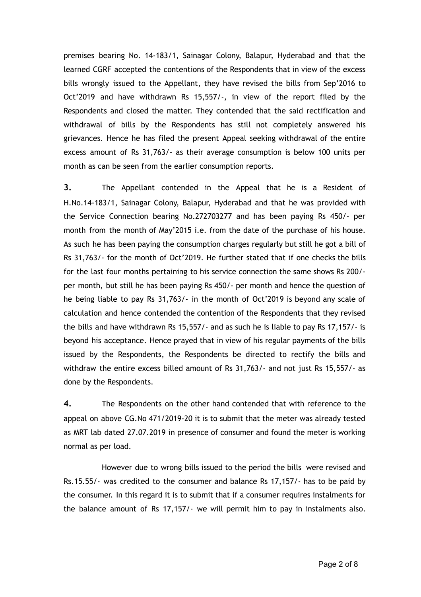premises bearing No. 14-183/1, Sainagar Colony, Balapur, Hyderabad and that the learned CGRF accepted the contentions of the Respondents that in view of the excess bills wrongly issued to the Appellant, they have revised the bills from Sep'2016 to Oct'2019 and have withdrawn Rs 15,557/-, in view of the report filed by the Respondents and closed the matter. They contended that the said rectification and withdrawal of bills by the Respondents has still not completely answered his grievances. Hence he has filed the present Appeal seeking withdrawal of the entire excess amount of Rs 31,763/- as their average consumption is below 100 units per month as can be seen from the earlier consumption reports.

**3.** The Appellant contended in the Appeal that he is a Resident of H.No.14-183/1, Sainagar Colony, Balapur, Hyderabad and that he was provided with the Service Connection bearing No.272703277 and has been paying Rs 450/- per month from the month of May'2015 i.e. from the date of the purchase of his house. As such he has been paying the consumption charges regularly but still he got a bill of Rs 31,763/- for the month of Oct'2019. He further stated that if one checks the bills for the last four months pertaining to his service connection the same shows Rs 200/ per month, but still he has been paying Rs 450/- per month and hence the question of he being liable to pay Rs 31,763/- in the month of Oct'2019 is beyond any scale of calculation and hence contended the contention of the Respondents that they revised the bills and have withdrawn Rs 15,557/- and as such he is liable to pay Rs 17,157/- is beyond his acceptance. Hence prayed that in view of his regular payments of the bills issued by the Respondents, the Respondents be directed to rectify the bills and withdraw the entire excess billed amount of Rs 31,763/- and not just Rs 15,557/- as done by the Respondents.

**4.** The Respondents on the other hand contended that with reference to the appeal on above CG.No 471/2019-20 it is to submit that the meter was already tested as MRT lab dated 27.07.2019 in presence of consumer and found the meter is working normal as per load.

However due to wrong bills issued to the period the bills were revised and Rs.15.55/- was credited to the consumer and balance Rs 17,157/- has to be paid by the consumer. In this regard it is to submit that if a consumer requires instalments for the balance amount of Rs 17,157/- we will permit him to pay in instalments also.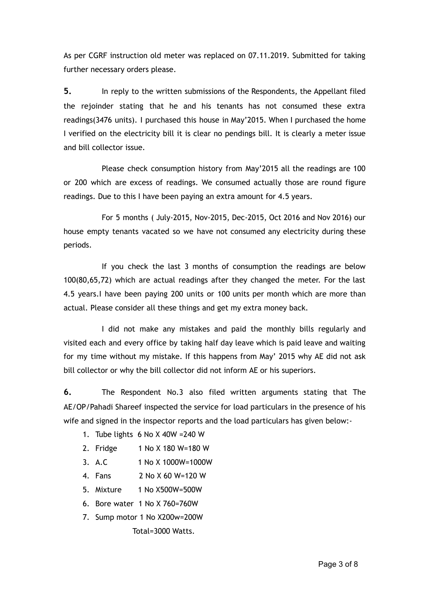As per CGRF instruction old meter was replaced on 07.11.2019. Submitted for taking further necessary orders please.

**5.** In reply to the written submissions of the Respondents, the Appellant filed the rejoinder stating that he and his tenants has not consumed these extra readings(3476 units). I purchased this house in May'2015. When I purchased the home I verified on the electricity bill it is clear no pendings bill. It is clearly a meter issue and bill collector issue.

Please check consumption history from May'2015 all the readings are 100 or 200 which are excess of readings. We consumed actually those are round figure readings. Due to this I have been paying an extra amount for 4.5 years.

For 5 months ( July-2015, Nov-2015, Dec-2015, Oct 2016 and Nov 2016) our house empty tenants vacated so we have not consumed any electricity during these periods.

If you check the last 3 months of consumption the readings are below 100(80,65,72) which are actual readings after they changed the meter. For the last 4.5 years.I have been paying 200 units or 100 units per month which are more than actual. Please consider all these things and get my extra money back.

I did not make any mistakes and paid the monthly bills regularly and visited each and every office by taking half day leave which is paid leave and waiting for my time without my mistake. If this happens from May' 2015 why AE did not ask bill collector or why the bill collector did not inform AE or his superiors.

**6.** The Respondent No.3 also filed written arguments stating that The AE/OP/Pahadi Shareef inspected the service for load particulars in the presence of his wife and signed in the inspector reports and the load particulars has given below:-

- 1. Tube lights 6 No X 40W =240 W
- 2. Fridge 1 No X 180 W=180 W
- 3. A.C 1 No X 1000W=1000W
- 4. Fans 2 No X 60 W=120 W
- 5. Mixture 1 No X500W=500W
- 6. Bore water 1 No X 760=760W
- 7. Sump motor 1 No X200w=200W Total=3000 Watts.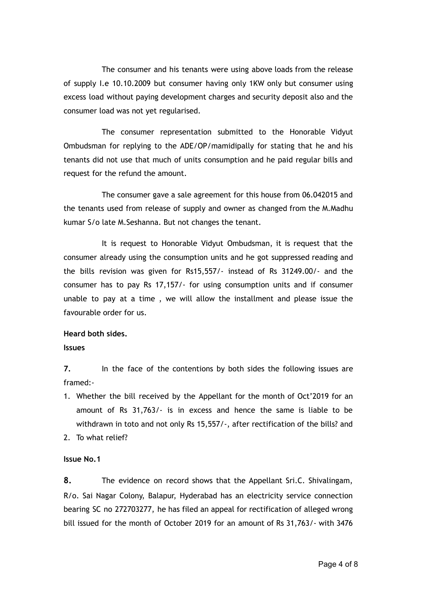The consumer and his tenants were using above loads from the release of supply I.e 10.10.2009 but consumer having only 1KW only but consumer using excess load without paying development charges and security deposit also and the consumer load was not yet regularised.

The consumer representation submitted to the Honorable Vidyut Ombudsman for replying to the ADE/OP/mamidipally for stating that he and his tenants did not use that much of units consumption and he paid regular bills and request for the refund the amount.

The consumer gave a sale agreement for this house from 06.042015 and the tenants used from release of supply and owner as changed from the M.Madhu kumar S/o late M.Seshanna. But not changes the tenant.

It is request to Honorable Vidyut Ombudsman, it is request that the consumer already using the consumption units and he got suppressed reading and the bills revision was given for Rs15,557/- instead of Rs 31249.00/- and the consumer has to pay Rs 17,157/- for using consumption units and if consumer unable to pay at a time , we will allow the installment and please issue the favourable order for us.

### **Heard both sides.**

**Issues**

**7.** In the face of the contentions by both sides the following issues are framed:-

- 1. Whether the bill received by the Appellant for the month of Oct'2019 for an amount of Rs 31,763/- is in excess and hence the same is liable to be withdrawn in toto and not only Rs 15,557/-, after rectification of the bills? and
- 2. To what relief?

### **Issue No.1**

**8.** The evidence on record shows that the Appellant Sri.C. Shivalingam, R/o. Sai Nagar Colony, Balapur, Hyderabad has an electricity service connection bearing SC no 272703277, he has filed an appeal for rectification of alleged wrong bill issued for the month of October 2019 for an amount of Rs 31,763/- with 3476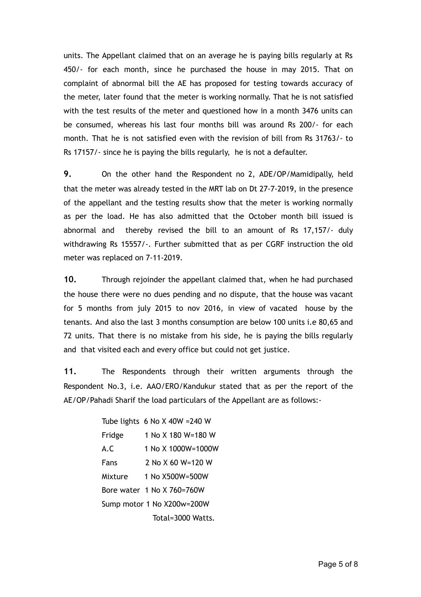units. The Appellant claimed that on an average he is paying bills regularly at Rs 450/- for each month, since he purchased the house in may 2015. That on complaint of abnormal bill the AE has proposed for testing towards accuracy of the meter, later found that the meter is working normally. That he is not satisfied with the test results of the meter and questioned how in a month 3476 units can be consumed, whereas his last four months bill was around Rs 200/- for each month. That he is not satisfied even with the revision of bill from Rs 31763/- to Rs 17157/- since he is paying the bills regularly, he is not a defaulter.

**9.** On the other hand the Respondent no 2, ADE/OP/Mamidipally, held that the meter was already tested in the MRT lab on Dt 27-7-2019, in the presence of the appellant and the testing results show that the meter is working normally as per the load. He has also admitted that the October month bill issued is abnormal and thereby revised the bill to an amount of Rs 17,157/- duly withdrawing Rs 15557/-. Further submitted that as per CGRF instruction the old meter was replaced on 7-11-2019.

**10.** Through rejoinder the appellant claimed that, when he had purchased the house there were no dues pending and no dispute, that the house was vacant for 5 months from july 2015 to nov 2016, in view of vacated house by the tenants. And also the last 3 months consumption are below 100 units i.e 80,65 and 72 units. That there is no mistake from his side, he is paying the bills regularly and that visited each and every office but could not get justice.

**11.** The Respondents through their written arguments through the Respondent No.3, i.e. AAO/ERO/Kandukur stated that as per the report of the AE/OP/Pahadi Sharif the load particulars of the Appellant are as follows:-

> Tube lights 6 No X 40W =240 W Fridge 1 No X 180 W=180 W A.C 1 No X 1000W=1000W Fans 2 No X 60 W=120 W Mixture 1 No X500W=500W Bore water 1 No X 760=760W Sump motor 1 No X200w=200W Total=3000 Watts.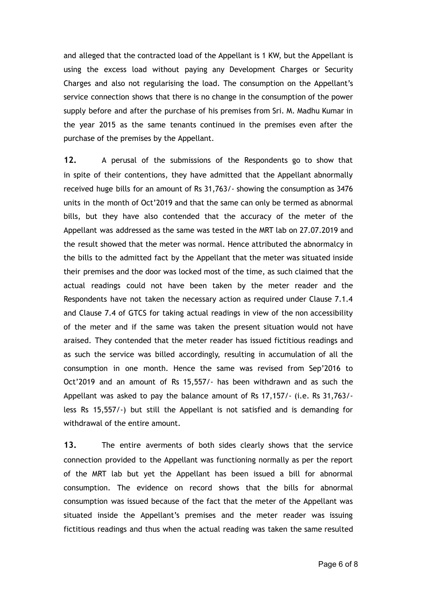and alleged that the contracted load of the Appellant is 1 KW, but the Appellant is using the excess load without paying any Development Charges or Security Charges and also not regularising the load. The consumption on the Appellant's service connection shows that there is no change in the consumption of the power supply before and after the purchase of his premises from Sri. M. Madhu Kumar in the year 2015 as the same tenants continued in the premises even after the purchase of the premises by the Appellant.

**12.** A perusal of the submissions of the Respondents go to show that in spite of their contentions, they have admitted that the Appellant abnormally received huge bills for an amount of Rs 31,763/- showing the consumption as 3476 units in the month of Oct'2019 and that the same can only be termed as abnormal bills, but they have also contended that the accuracy of the meter of the Appellant was addressed as the same was tested in the MRT lab on 27.07.2019 and the result showed that the meter was normal. Hence attributed the abnormalcy in the bills to the admitted fact by the Appellant that the meter was situated inside their premises and the door was locked most of the time, as such claimed that the actual readings could not have been taken by the meter reader and the Respondents have not taken the necessary action as required under Clause 7.1.4 and Clause 7.4 of GTCS for taking actual readings in view of the non accessibility of the meter and if the same was taken the present situation would not have araised. They contended that the meter reader has issued fictitious readings and as such the service was billed accordingly, resulting in accumulation of all the consumption in one month. Hence the same was revised from Sep'2016 to Oct'2019 and an amount of Rs 15,557/- has been withdrawn and as such the Appellant was asked to pay the balance amount of Rs 17,157/- (i.e. Rs 31,763/ less Rs 15,557/-) but still the Appellant is not satisfied and is demanding for withdrawal of the entire amount.

**13.** The entire averments of both sides clearly shows that the service connection provided to the Appellant was functioning normally as per the report of the MRT lab but yet the Appellant has been issued a bill for abnormal consumption. The evidence on record shows that the bills for abnormal consumption was issued because of the fact that the meter of the Appellant was situated inside the Appellant's premises and the meter reader was issuing fictitious readings and thus when the actual reading was taken the same resulted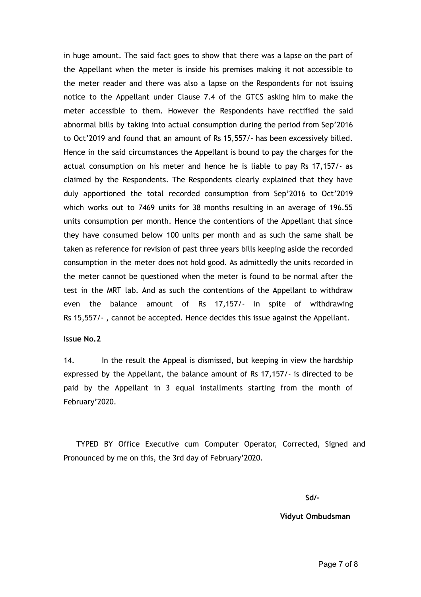in huge amount. The said fact goes to show that there was a lapse on the part of the Appellant when the meter is inside his premises making it not accessible to the meter reader and there was also a lapse on the Respondents for not issuing notice to the Appellant under Clause 7.4 of the GTCS asking him to make the meter accessible to them. However the Respondents have rectified the said abnormal bills by taking into actual consumption during the period from Sep'2016 to Oct'2019 and found that an amount of Rs 15,557/- has been excessively billed. Hence in the said circumstances the Appellant is bound to pay the charges for the actual consumption on his meter and hence he is liable to pay Rs 17,157/- as claimed by the Respondents. The Respondents clearly explained that they have duly apportioned the total recorded consumption from Sep'2016 to Oct'2019 which works out to 7469 units for 38 months resulting in an average of 196.55 units consumption per month. Hence the contentions of the Appellant that since they have consumed below 100 units per month and as such the same shall be taken as reference for revision of past three years bills keeping aside the recorded consumption in the meter does not hold good. As admittedly the units recorded in the meter cannot be questioned when the meter is found to be normal after the test in the MRT lab. And as such the contentions of the Appellant to withdraw even the balance amount of Rs 17,157/- in spite of withdrawing Rs 15,557/- , cannot be accepted. Hence decides this issue against the Appellant.

#### **Issue No.2**

14. In the result the Appeal is dismissed, but keeping in view the hardship expressed by the Appellant, the balance amount of Rs 17,157/- is directed to be paid by the Appellant in 3 equal installments starting from the month of February'2020.

TYPED BY Office Executive cum Computer Operator, Corrected, Signed and Pronounced by me on this, the 3rd day of February'2020.

**Sd/-**

#### **Vidyut Ombudsman**